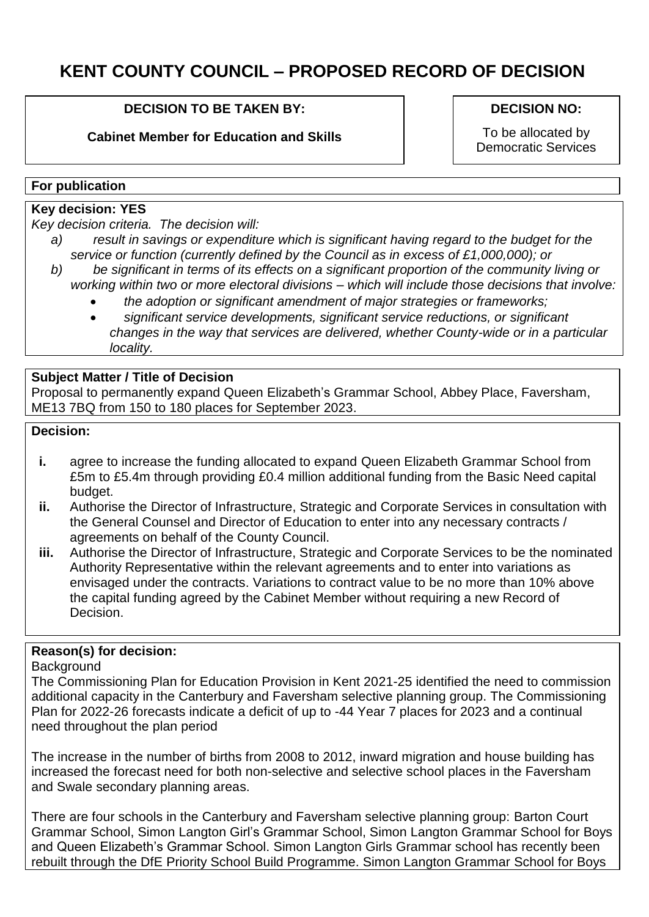# **KENT COUNTY COUNCIL – PROPOSED RECORD OF DECISION**

## **DECISION TO BE TAKEN BY:**

**Cabinet Member for Education and Skills**

#### **DECISION NO:**

To be allocated by Democratic Services

#### **For publication**

# **Key decision: YES**

*Key decision criteria. The decision will:*

- *a) result in savings or expenditure which is significant having regard to the budget for the service or function (currently defined by the Council as in excess of £1,000,000); or*
- *b) be significant in terms of its effects on a significant proportion of the community living or working within two or more electoral divisions – which will include those decisions that involve:*
	- *the adoption or significant amendment of major strategies or frameworks;*
	- *significant service developments, significant service reductions, or significant changes in the way that services are delivered, whether County-wide or in a particular locality.*

# **Subject Matter / Title of Decision**

Proposal to permanently expand Queen Elizabeth's Grammar School, Abbey Place, Faversham, ME13 7BQ from 150 to 180 places for September 2023.

#### **Decision:**

- **i.** agree to increase the funding allocated to expand Queen Elizabeth Grammar School from £5m to £5.4m through providing £0.4 million additional funding from the Basic Need capital budget.
- **ii.** Authorise the Director of Infrastructure, Strategic and Corporate Services in consultation with the General Counsel and Director of Education to enter into any necessary contracts / agreements on behalf of the County Council.
- **iii.** Authorise the Director of Infrastructure, Strategic and Corporate Services to be the nominated Authority Representative within the relevant agreements and to enter into variations as envisaged under the contracts. Variations to contract value to be no more than 10% above the capital funding agreed by the Cabinet Member without requiring a new Record of Decision.

# **Reason(s) for decision:**

#### **Background**

The Commissioning Plan for Education Provision in Kent 2021-25 identified the need to commission additional capacity in the Canterbury and Faversham selective planning group. The Commissioning Plan for 2022-26 forecasts indicate a deficit of up to -44 Year 7 places for 2023 and a continual need throughout the plan period

The increase in the number of births from 2008 to 2012, inward migration and house building has increased the forecast need for both non-selective and selective school places in the Faversham and Swale secondary planning areas.

There are four schools in the Canterbury and Faversham selective planning group: Barton Court Grammar School, Simon Langton Girl's Grammar School, Simon Langton Grammar School for Boys and Queen Elizabeth's Grammar School. Simon Langton Girls Grammar school has recently been rebuilt through the DfE Priority School Build Programme. Simon Langton Grammar School for Boys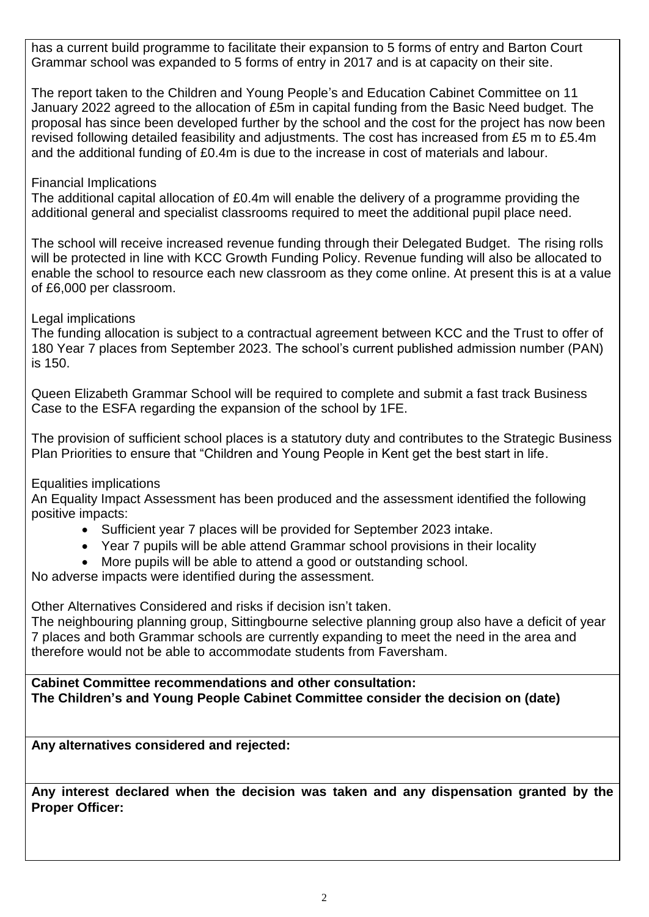has a current build programme to facilitate their expansion to 5 forms of entry and Barton Court Grammar school was expanded to 5 forms of entry in 2017 and is at capacity on their site.

The report taken to the Children and Young People's and Education Cabinet Committee on 11 January 2022 agreed to the allocation of £5m in capital funding from the Basic Need budget. The proposal has since been developed further by the school and the cost for the project has now been revised following detailed feasibility and adjustments. The cost has increased from £5 m to £5.4m and the additional funding of £0.4m is due to the increase in cost of materials and labour.

# Financial Implications

The additional capital allocation of £0.4m will enable the delivery of a programme providing the additional general and specialist classrooms required to meet the additional pupil place need.

The school will receive increased revenue funding through their Delegated Budget. The rising rolls will be protected in line with KCC Growth Funding Policy. Revenue funding will also be allocated to enable the school to resource each new classroom as they come online. At present this is at a value of £6,000 per classroom.

## Legal implications

The funding allocation is subject to a contractual agreement between KCC and the Trust to offer of 180 Year 7 places from September 2023. The school's current published admission number (PAN) is 150.

Queen Elizabeth Grammar School will be required to complete and submit a fast track Business Case to the ESFA regarding the expansion of the school by 1FE.

The provision of sufficient school places is a statutory duty and contributes to the Strategic Business Plan Priorities to ensure that "Children and Young People in Kent get the best start in life.

#### Equalities implications

An Equality Impact Assessment has been produced and the assessment identified the following positive impacts:

- Sufficient year 7 places will be provided for September 2023 intake.
- Year 7 pupils will be able attend Grammar school provisions in their locality
- More pupils will be able to attend a good or outstanding school.

No adverse impacts were identified during the assessment.

Other Alternatives Considered and risks if decision isn't taken.

The neighbouring planning group, Sittingbourne selective planning group also have a deficit of year 7 places and both Grammar schools are currently expanding to meet the need in the area and therefore would not be able to accommodate students from Faversham.

**Cabinet Committee recommendations and other consultation: The Children's and Young People Cabinet Committee consider the decision on (date)** 

**Any alternatives considered and rejected:**

**Any interest declared when the decision was taken and any dispensation granted by the Proper Officer:**